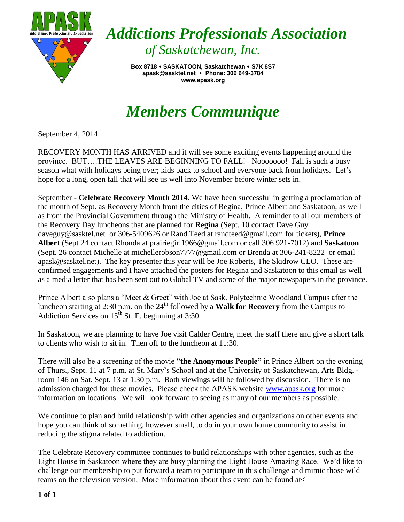

*Addictions Professionals Association of Saskatchewan, Inc.*

> **Box 8718 SASKATOON, Saskatchewan S7K 6S7 apask@sasktel.net Phone: 306 649-3784 www.apask.org**

## *Members Communique*

September 4, 2014

RECOVERY MONTH HAS ARRIVED and it will see some exciting events happening around the province. BUT….THE LEAVES ARE BEGINNING TO FALL! Nooooooo! Fall is such a busy season what with holidays being over; kids back to school and everyone back from holidays. Let's hope for a long, open fall that will see us well into November before winter sets in.

September - **Celebrate Recovery Month 2014.** We have been successful in getting a proclamation of the month of Sept. as Recovery Month from the cities of Regina, Prince Albert and Saskatoon, as well as from the Provincial Government through the Ministry of Health. A reminder to all our members of the Recovery Day luncheons that are planned for **Regina** (Sept. 10 contact Dave Guy [daveguy@sasktel.net](mailto:daveguy@sasktel.net) or 306-5409626 or Rand Teed at [randteed@gmail.com](mailto:randteed@gmail.com) for tickets), **Prince Albert** (Sept 24 contact Rhonda at prairiegirl1966@gmail.com or call 306 921-7012) and **Saskatoon**  (Sept. 26 contact Michelle at michellerobson7777@gmail.com or Brenda at 306-241-8222 or email [apask@sasktel.net\)](mailto:apask@sasktel.net). The key presenter this year will be Joe Roberts, The Skidrow CEO. These are confirmed engagements and I have attached the posters for Regina and Saskatoon to this email as well as a media letter that has been sent out to Global TV and some of the major newspapers in the province.

Prince Albert also plans a "Meet & Greet" with Joe at Sask. Polytechnic Woodland Campus after the luncheon starting at 2:30 p.m. on the 24<sup>th</sup> followed by a **Walk for Recovery** from the Campus to Addiction Services on  $15<sup>th</sup>$  St. E. beginning at 3:30.

In Saskatoon, we are planning to have Joe visit Calder Centre, meet the staff there and give a short talk to clients who wish to sit in. Then off to the luncheon at 11:30.

There will also be a screening of the movie "**the Anonymous People"** in Prince Albert on the evening of Thurs., Sept. 11 at 7 p.m. at St. Mary's School and at the University of Saskatchewan, Arts Bldg. room 146 on Sat. Sept. 13 at 1:30 p.m. Both viewings will be followed by discussion. There is no admission charged for these movies. Please check the APASK website [www.apask.org](http://www.apask.org/) for more information on locations. We will look forward to seeing as many of our members as possible.

We continue to plan and build relationship with other agencies and organizations on other events and hope you can think of something, however small, to do in your own home community to assist in reducing the stigma related to addiction.

The Celebrate Recovery committee continues to build relationships with other agencies, such as the Light House in Saskatoon where they are busy planning the Light House Amazing Race. We'd like to challenge our membership to put forward a team to participate in this challenge and mimic those wild teams on the television version. More information about this event can be found at<